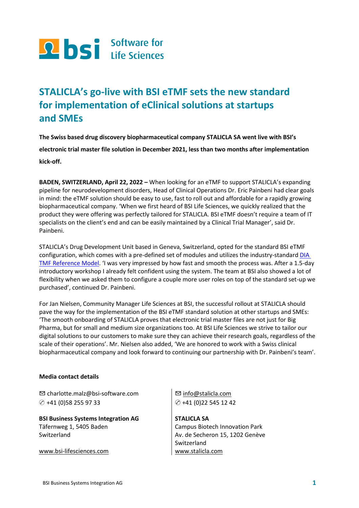

# **STALICLA's go-live with BSI eTMF sets the new standard for implementation of eClinical solutions at startups and SMEs**

**The Swiss based drug discovery biopharmaceutical company STALICLA SA went live with BSI's electronic trial master file solution in December 2021, less than two months after implementation kick-off.**

**BADEN, SWITZERLAND, April 22, 2022 –** When looking for an eTMF to support STALICLA's expanding pipeline for neurodevelopment disorders, Head of Clinical Operations Dr. Eric Painbeni had clear goals in mind: the eTMF solution should be easy to use, fast to roll out and affordable for a rapidly growing biopharmaceutical company. 'When we first heard of BSI Life Sciences, we quickly realized that the product they were offering was perfectly tailored for STALICLA. BSI eTMF doesn't require a team of IT specialists on the client's end and can be easily maintained by a Clinical Trial Manager', said Dr. Painbeni.

STALICLA's Drug Development Unit based in Geneva, Switzerland, opted for the standard BSI eTMF configuration, which comes with a pre-defined set of modules and utilizes the industry-standar[d DIA](https://tmfrefmodel.com/)  [TMF Reference Model](https://tmfrefmodel.com/). 'I was very impressed by how fast and smooth the process was. After a 1.5-day introductory workshop I already felt confident using the system. The team at BSI also showed a lot of flexibility when we asked them to configure a couple more user roles on top of the standard set-up we purchased', continued Dr. Painbeni.

For Jan Nielsen, Community Manager Life Sciences at BSI, the successful rollout at STALICLA should pave the way for the implementation of the BSI eTMF standard solution at other startups and SMEs: 'The smooth onboarding of STALICLA proves that electronic trial master files are not just for Big Pharma, but for small and medium size organizations too. At BSI Life Sciences we strive to tailor our digital solutions to our customers to make sure they can achieve their research goals, regardless of the scale of their operations'. Mr. Nielsen also added, 'We are honored to work with a Swiss clinical biopharmaceutical company and look forward to continuing our partnership with Dr. Painbeni's team'.

#### **Media contact details**

✉ [charlotte.malz@bsi-software.com](mailto:charlotte.malz@bsi-software.com) ✆ +41 (0)58 255 97 33

**BSI Business Systems Integration AG**  Täfernweg 1, 5405 Baden Switzerland

[www.bsi-lifesciences.com](http://www.bsi-lifesciences.com/)

✉ [info@stalicla.com](mailto:info@stalicla.com) ✆ +41 (0)22 545 12 42

**STALICLA SA** Campus Biotech Innovation Park Av. de Secheron 15, 1202 Genève Switzerland [www.stalicla.com](http://www.stalicla.com/)